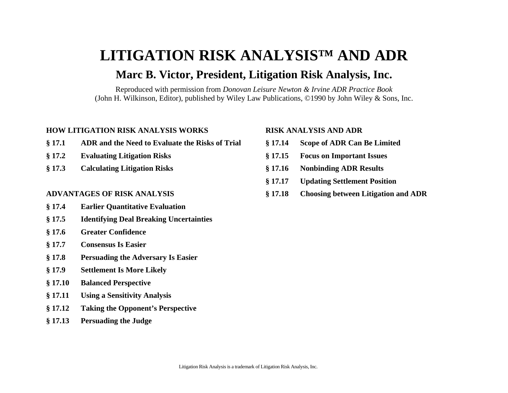# **LITIGATION RISK ANALYSIS™ AND ADR**

## **Marc B. Victor, President, Litigation Risk Analysis, Inc.**

Reproduced with permission from *Donovan Leisure Newton & Irvine ADR Practice Book*  (John H. Wilkinson, Editor), published by Wiley Law Publications, ©1990 by John Wiley & Sons, Inc.

#### **HOW LITIGATION RISK ANALYSIS WORKS**

- **§ 17.1 ADR and the Need to Evaluate the Risks of Trial**
- **§ 17.2 Evaluating Litigation Risks**
- **§ 17.3 Calculating Litigation Risks**

#### **ADVANTAGES OF RISK ANALYSIS**

- **§ 17.4 Earlier Quantitative Evaluation**
- **§ 17.5 Identifying Deal Breaking Uncertainties**
- **§ 17.6 Greater Confidence**
- **§ 17.7 Consensus Is Easier**
- **§ 17.8 Persuading the Adversary Is Easier**
- **§ 17.9 Settlement Is More Likely**
- **§ 17.10 Balanced Perspective**
- **§ 17.11 Using a Sensitivity Analysis**
- **§ 17.12 Taking the Opponent's Perspective**
- **§ 17.13 Persuading the Judge**

#### **RISK ANALYSIS AND ADR**

- **§ 17.14 Scope of ADR Can Be Limited**
- **§ 17.15 Focus on Important Issues**
- **§ 17.16 Nonbinding ADR Results**
- **§ 17.17 Updating Settlement Position**
- **§ 17.18 Choosing between Litigation and ADR**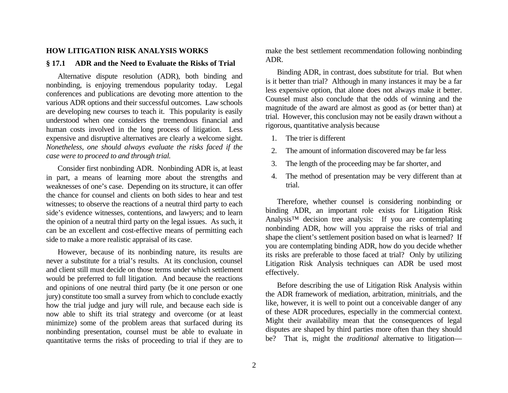#### **HOW LITIGATION RISK ANALYSIS WORKS**

#### **§ 17.1 ADR and the Need to Evaluate the Risks of Trial**

Alternative dispute resolution (AD R), both binding and nonbinding, is enjoying tremendous popularity today. Legal conferences and publications are d evoting mor e attention to the various ADR options and their successful outcomes. Law schools are devel oping new c ours es t o teach it. This popularity is easily understood when one considers the tremendous financial and human costs involved in the long process of litigation. Less expensive and disruptive alternatives are clearly a welcome sight. *Nonetheless, one should always evaluate the risks faced if the c ase were to proceed to and thro ugh trial.*

Consid er first nonbinding ADR. Nonbinding ADR is, at least in part, a means of learning m ore about th e strengths and weaknesses of one's case. Depending on its structure, it can offer the chance for counsel and clients on both sides to hear and test witnesses; to observe the reactions of a neutral third party to each side's evidence witnesses, contentions, and lawyers; and to learn the opinion of a neutral third party on the legal issues. As such, it can be an excellent an d cost-effective means of permitting each side to make a more realistic appraisal of its case.

However, because of its nonbinding nature, its results are never a substitute for a trial's results. At its conclusion, counsel and client still must decide on those terms under which settlement would be preferred to full litigation. And because the reactions and opinions of one ne utral third p arty (be it one person or one jury) constitute too small a survey from which to conclude exactly how the trial judge and jury will rule, and b ecause each side is now able to shift its trial strategy and ov erc o me (or at least minimize) s ome of the pro blem areas that s urfaced during its nonbinding presentation, counsel must be able to evaluate in quantitative terms the risks of pro ceedin g to trial if the y are to

m ake the b est settlement recommendation following nonbinding ADR.

Binding ADR, in contrast, does substitute for trial. But when is it better than trial? Although in m any instances it m ay be a far less expensive option, that alone does not always m ake it better. Counsel must also conclude that the odds of winning and the magnitud e of the award are almost as good as (or b etter than) at trial. However, this conclusion may not be easil y dr awn without arigorous, quantitative analysis because

- 1.The trier is different
- 2.The amount of information discovered m ay be far less
- 3.. The length of the proceeding may be far shorter, and
- 4. The m ethod of presentation m ay be very different than at trial.

Ther efore, whether couns el is considering nonbinding or binding ADR, an important role exists for Litigation Risk Analysis™ decision tree analysis: If you are contemplating nonbinding ADR, how will you appraise the risks of trial and shape the client's settl e me nt position based on what is learned? If you are contemplating binding ADR, how do you decide whether its risks are preferable to those faced at trial? Only by utilizing Litigatio n Ris k Analysis techniques can ADR be used m ost effecti vely.

Before describing the use of Litigation Ris k Analysis within the ADR framework of mediation, arbitration, minitrials, and the like, however, it is well to point out a conceivable danger of any of these ADR procedures, especially in the commercial context. Might their availability mean that the consequences of legal disputes are shaped by third parties m ore often than they should be? That is, might the *traditional* alternative to litigation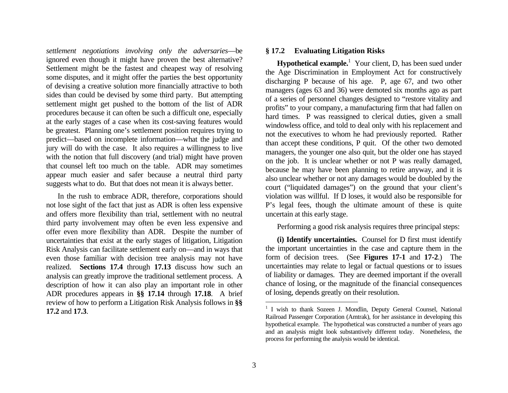*settlement negotiations involving only the adversaries*—be ignored even though it might have proven the best alternative? Settlement might be the fastest and cheapest way of resolving some disputes, and it might offer th e parties the best opportunity of devising a creati v e s olution more financially attractive to both sides than could be devised by some third party. But attempting settlem ent might get pushed to the bottom of the list of A DR proce dures becaus e it c a n oft en be su c h a difficult one, especially at the early stages of a cas e when its cost-savi ng features would be greatest. Planning one's settlement position requires trying to predict—based on incomplete information—wh at the judge and jury will do with the c ase. It also requires a willingness to live with the notion that full discovery (and trial) might have proven that counsel left too much o n the table. ADR may som etimes appear much easier and safer because a neutral third party suggests what to do. But that does not me a n it is always better.

In the rush to embrace ADR, therefore, corporations should not lose sight of the fa ct that just as ADR is often less expensive and offers more flexibility than trial, settlem ent with no neutral third party involvement m ay often be even less e xpensive and offer even more flexibility than ADR. Despite the number of uncertai nties that exist at the early sta ges of litigation, Litigation Risk Analysis can facilitate settlement early on—and in ways that even those familiar with decision tree analysis m ay not have realized. **Secti ons 1 7.4** through **17.13** discuss how such an analysis can greatly improve the traditional settlement process. A description of how it can also play an i mportant role in other ADR procedures appears in **§§ 17.14** through **17.18**. A brief review of how to perform a Litigation Risk Analysis follows in **§§ 17.2** and **17.3**.

#### **§ 17.2 Evaluating Litigation Risks**

**Hypot hetical example.** [1](#page-2-0) Your client, D, has been sued under the Age Discrimin atio n in Employment Act for c onstructively discharging P because of his age. P, age 67, and two other managers (ages 63 and 36) w ere demoted six months ago as part of a series of personnel changes designed to "restore vitality and profits" to your company, a m anufacturing firm that had fallen on hard times. P was reassigned to clerical duties, given a small windowless office, and told to d e al o nly with his repla cement and not the executives to whom he had previously reported. Rather than accept these conditions, P quit. Of the other two dem oted m anagers, the younger one als o quit, but th e older one has sta y e d on the job. It is unclear whether or not P w as really dam aged, becaus e he may have be e n pla nning to retire anyway, and it is also unclear whether or not any dam ages would be doubled by the c ourt ("liquidated damages") on the ground that your client's violation was willful. If D loses, it would also be r esponsible for P's legal fees, though the ultim ate amount of these is quite uncertain at this early stage.

Performing a good risk analysis r equires three pri ncipal steps:

**(i) Identify uncertainties.** Counsel for D first must identify the important uncertainties in the case and capture them in the form of decision trees. (See **Figures 17-1** and **17-2**.) The uncertainties may relate to legal or factual questions or t o issu es of liability or dam ages. T hey ar e d e e med important if the o v erall chance of losing, or the m agnitude of the financial consequences of losing, depends greatly on their resolution.

<span id="page-2-0"></span><sup>&</sup>lt;sup>1</sup> I wish to thank Sozeen J. Mondlin, Deputy General Counsel, National Railroad Passenger Corporation (A mtrak), for her assistance in developing this hypothetical e xample. T he hypothetical was constructed a number of years ago and an analysis might look s ubstantively different today. Nonetheless, the process for performing the anal ysis would be identical.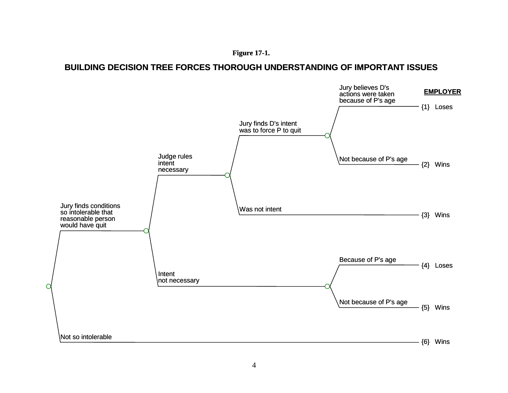#### **Figure 17-1.**

## **BUILDING DECISION TREE FORCES THOROUGH UNDERSTANDING OF IMPORTANT ISSUES**

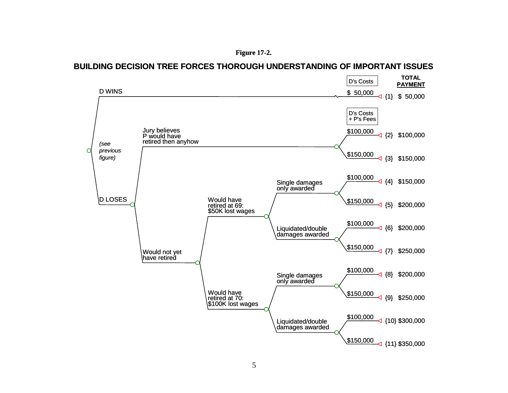## **BUILDING DECISION TREE FORCES THOROUGH UNDERSTANDING OF IMPORTANT ISSUES**

**Figure 17-2.**

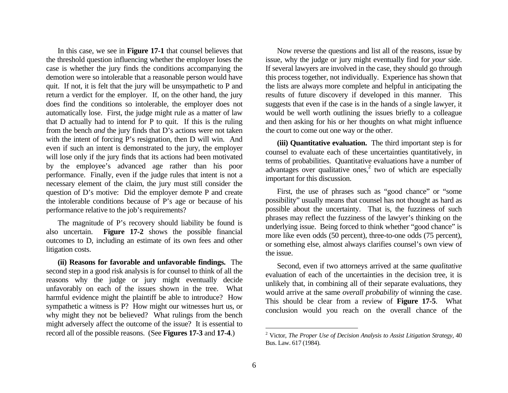In this case, we see in **Fig ure 17-1** that counsel believes that the threshold question influencing whether the employer loses the case is whether the jury finds the conditions accompanying the demotion were so intolerable that a reasonable person would have quit. If not, it is felt that the jury will be u nsymp athetic to P andreturn a v erdict for the e mployer. If, on the other hand, the jury does find the con ditio ns so intolerable, the employer does not automatically lose. First, the judge might rule as a m atter of law that D actu ally h ad to intend for P to quit. If this is the ruling from the bench *and* the jury finds that D's actions were not taken with the intent of forcin g P's resignation, then D will win. And even if such an intent is demonstrated to the jury, the employer will lose only if the jury finds that its actions had been motivated by the employee's advanced age rather than his poor perform ance. Finally, even if the ju dge rules th at intent is not a necess ary element of the claim, th e jury must still consid er the question of D's m otive: Did the employer dem ote P and create th e intoler abl e c onditions becaus e of P's a g e or becaus e of his performance relative to the job's requirements?

The magnitude of P's recovery should liability be found is also uncertain. **Figure 17-2** shows the possible financial outcomes to D, including an estimate of its own fees a nd other litigation costs.

**(ii) Reasons for favorable and unfavorable findings.** The second step in a good risk analysis is for counsel to think of all the reasons why the judge or jury might eventually d ecide unfavorably on each of the issues show n in the tree. What harmful evidence mig ht the plaintiff be able to introduce? How sympathetic a witness is P? H ow might our witnesses hurt us, or why might the y not be believed? What rulings from the bench might adversely affect the outcom e of the issu e? It is esse ntial to record all of the p ossibl e reasons. ( See **Figures 17-3** and **17**-**4**.)

Now reverse the questions and list all of the r e asons, issue b y issue, why the jud ge or jury mig ht eventually fin d for *your* side. If several lawyers are involved in the case, they should go through this pro c ess togeth er, not individually. Experience has shown that the lists are alw a ys m ore complete and helpful in anticipating the results of future discovery if developed in this m anner. T his sug g ests th at even if the c ase is in the han ds of a single lawyer, it would be well worth outlining the issues briefly to a colleague and then asking for his or her thoughts on what might influence the court to come out one way or the other.

**(iii) Q uantitative evaluation.** The third important step is for counsel to evaluate each of these uncertainti es quantitati vely, i n terms of probabilities. Quantitative evaluations have a number of advantages over qualitative ones,<sup>[2](#page-5-0)</sup> two of which are especially important for this discussion.

First, the use of phrases such as "good chance" or "some possibility" usually means that counsel has not thought as hard as possible abo ut the uncertainty. That is, the fuzziness of such phrases may r eflect the fuzziness of the lawyer's thinking on the underlying issue. Being forced to think whether "good chance" is m ore lik e e v e n o d ds (50 percent), three-to-one odds (75 percent), or something else, almost always clarifies counsel's own view of the issue.

Second, even if two attorneys arrived at the same *qualitative* evaluation of each of the uncertainties in the decision tree, it is unlikely that, in combining all of their separat e evaluations, the y would arrive at the same *overall probability* of winning the case. This shoul d be clear from a review of **Figure 17-5**. What conclusion would you reach on the overall chance of th e

<span id="page-5-0"></span><sup>2</sup> Victor, *The Proper Use of Decision A nalysis to Assist Litigation Strategy,* 40 Bus. Law. 617 (1984).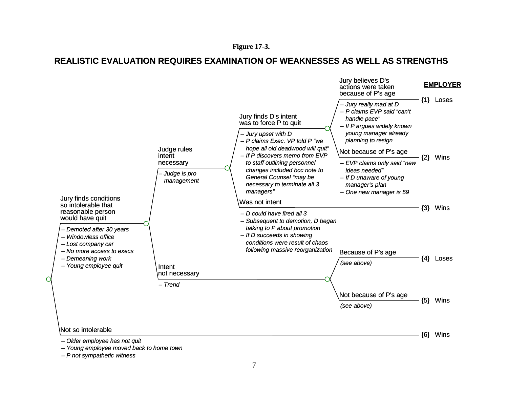#### **Figure 17-3.**

## **REALISTIC EVALUATION REQUIRES EXAMINATION OF WEAKNESSES AS WELL AS STRENGTHS**



*– P not sympathetic witness*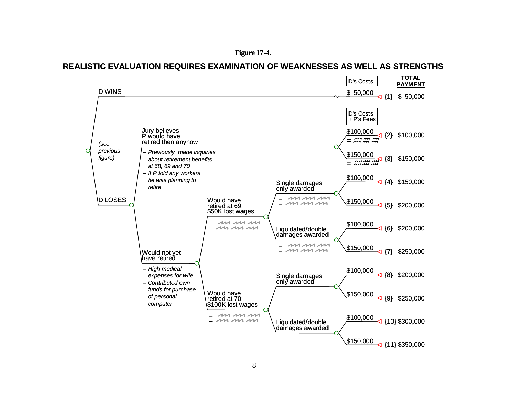### **REALISTIC EVALUATION REQUIRES EXAMINATION OF WEAKNESSES AS WELL AS STRENGTHS**

**Figure 17-4.**

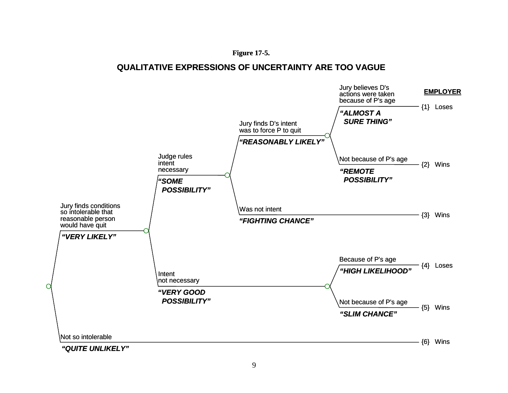#### **Figure 17-5.**

## **QUALITATIVE EXPRESSIONS OF UNCERTAINTY ARE TOO VAGUE**

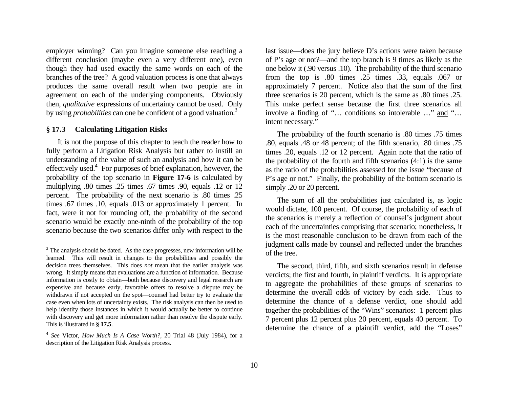employer winning? Can you imagine som eone else reaching a different conclusion (maybe even a very different one), even though they had used exactly the sam e words on each of the branches of the tree? A good valuation process is one that alw ays pro d u c es the sam e over all result when two people ar e in agreement on each of the underlying components. Obviously then, *qualitative* expressions of uncertainty cannot be used. Only by using *probabilities* can one be confident of a good valuation.<sup>[3](#page-9-0)</sup>

#### **§ 17.3 Calculating Litigation Risks**

It is not the purpose of this chapter to teach the reader how to fully perform a Litigation Risk Analysis b ut rather to instill an understanding of the value of such an analysis and how it can be effectively used.<sup>[4](#page-9-1)</sup> For purposes of brief explanation, however, the probability of the top scenario in **Figure 17-6** is calculated by multiplying .80 tim es .25 times .67 times .90, equals .12 or 12 percent. T he probability of the next scenario is .80 times .25 tim es .67 times .10, equals .013 or approximately 1 percent. In fact, were it not for rounding off, the probability of the second scenario would be exactly one-ninth of the probability of the top scenario b ecause the two scenarios differ only with respect t o the

last issue—d oes the jury believe D's actions w ere taken because of P's age or not?—and the top branch is 9 times as likely as the one bel ow it (.90 versus .10). The probability of the third scenario from the top is .80 tim es .25 times .33, equals .067 or approxi mately 7 percent. Notice also th at the s u m of the first three scenarios is 20 percent, which is the sa m e as .80 tim es .25. This make perfect sense because the first three scenarios all involve a finding of "… conditions so intolerable …" and "… intent necessary."

The probability of the fourth scenario is .80 times .75 times .80, equals .48 or 48 percent; of the fifth scenario, .80 tim es .75 tim es .20, equals .12 or 12 percent. Again note that the ratio of th e probability of th e fourth a nd fifth s c e n arios ( 4:1) is th e s ame as the ratio of the probabilities assessed for the iss ue "becaus e of P's age or not." Finally, the probability of the bottom scenario is simply .20 or 20 percent.

The sum of all the probabilities just calculated is, as logic would dictate, 100 percent. Of course, the probability of each of the scenarios is merely a reflection of counsel's judgment about each of the uncertainties comprising that scen ario; nonetheless, it is the m ost r e asonable conclusion to be drawn from each of the judgm ent calls made by counsel and reflected un d er the branches of the tree.

<span id="page-9-1"></span><span id="page-9-0"></span>The second, third, fifth, and sixth scenarios result in defense verdicts; the first and fourth, in plai ntiff verdicts. It is ap propriate to aggregate the probabilities of these groups of scenarios to determine the overall odds of victory by each side. Thus to determine the chance of a defense verdict, on e should add together the probabilities of the "Wins" scenarios: 1 percent plus 7 percent plus 12 percent plus 20 percent, equals 40 percent. To determine the chance of a plaintiff verdict, add the "Loses"

 $3$  The analysis should be dated. As the case progresses, new information will be learned. This will result i n changes to the probabilities and possibly the decision trees themselves. This does *not* mean that the earlier analysis was wrong. It simply means that evaluations are a function of i nformation. Because information is costly to obtai n—both because discovery and legal research are expensive and because early, favorable offers to resolve a dispute may be withdrawn if not accepted on the spot—counsel had better try to evaluate the case even when lots of uncertainty exists. The risk analysis can then be used to help identify those instances in which it would actually be better to continue with discovery and get more information rather than resolve the dispute early. This is illustrated in **§ 17.5**.

<sup>4</sup> *See* Victor, *How Much Is A Case Worth?,* 20 Trial 48 (July 1984), for a description of the Litigation Risk Analysis process.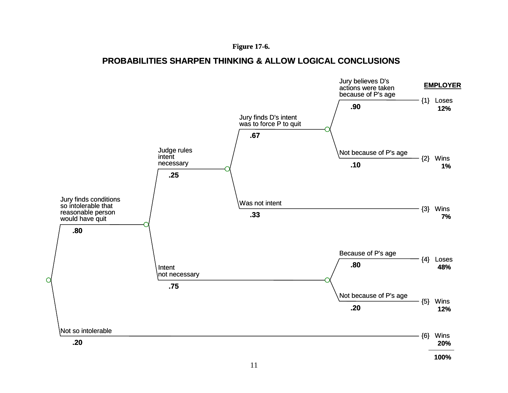#### **Figure 17-6.**

#### **PROBABILITIES SHARPEN THINKING & ALLOW LOGICAL CONCLUSIONS**

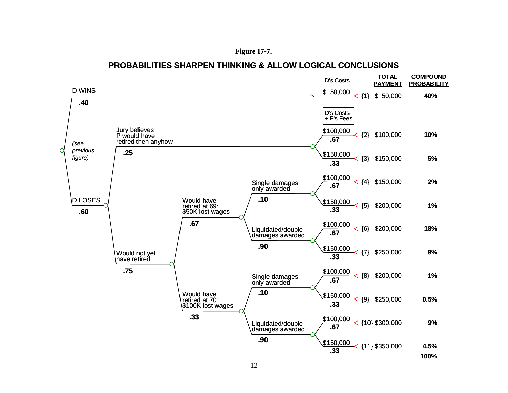#### **Figure 17-7.**

#### **PROBABILITIES SHARPEN THINKING & ALLOW LOGICAL CONCLUSIONS**

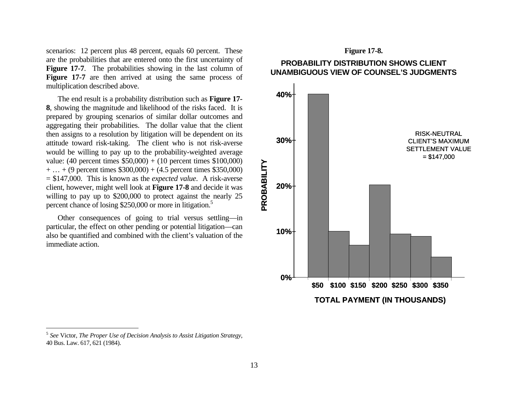scenarios: 12 percent plus 48 percent, equals 60 percent. These are the probabilities that are entered onto the first uncertainty of **Figure 17-7**. The probabilities showing in the last column of Figure 17-7 are then arrived at using the same process of multiplication described above.

The end result is a probability distribution such as **Figure 17- 8**, showing the magnitude and likelihood of the risks faced. It is prepared by grouping scenarios of similar dollar outcomes and aggregating their probabilities. The dollar value that the client then assigns to a resolution by litigation will be dependent on its attitude toward risk-taking. The client who is not risk-averse would be willing to pay up to the probability-weighted average value: (40 percent times \$50,000) + (10 percent times \$100,000)  $+ ... + (9$  percent times \$300,000) + (4.5 percent times \$350,000) = \$147,000. This is known as the *expected value*. A risk-averse client, however, might well look at **Figure 17-8** and decide it was willing to pay up to \$200,000 to protect against the nearly 25 percent chance of losing \$2[5](#page-12-0)0,000 or more in litigation.<sup>5</sup>

Other consequences of going to trial versus settling—in particular, the effect on other pending or potential litigation—can also be quantified and combined with the client's valuation of the immediate action.

## **Figure 17-8. PROBABILITY DISTRIBUTION SHOWS CLIENT UNAMBIGUOUS VIEW OF COUNSEL'S JUDGMENTS**

<span id="page-12-0"></span>

<sup>5</sup> *See* Victor, *The Proper Use of Decision Analysis to Assist Litigation Strategy,*  40 Bus. Law. 617, 621 (1984).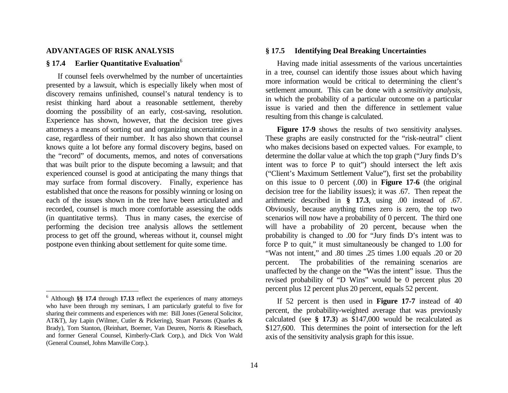#### **ADVANTAGES OF RISK ANALYSIS**

#### **§ 17.4 Earlier Quantitative Evaluation**[6](#page-13-0)

If cou nsel feels overw helm ed by the number of uncertainties presented b y a lawsuit, which is esp e cially lik ely when m ost of discovery rem ains unfinished, counsel's natural tendenc y is to resist thinking hard about a reas o nable settlem ent, thereby dooming the possibility of an early, cost-saving, resolution. Experience has shown, however, that the decision tree gives attorneys a means of sorting out and organizing uncertainties in a case, regardless of their number. It has also shown that counsel knows quite a lot before any formal discovery begins, based on th <sup>e</sup>"record" of documents, memos, and notes of conversations that was built prior to the dispute bec oming a lawsuit; a nd thatexperienced counsel is good at anticipating the m any things that m ay surface from formal discovery. Fin ally, exp erience has established that once the reasons for possi bly winning or losing on each of the issues shown in the tree have been articulated and recorded, counsel is much m ore comfortable ass essing the odds (in quantitative terms). Thus in many cases, the exercise of performing the decision tree analysis all ows the settlement process to get off the ground, whereas without it, counsel might postpone even thinking about settlem ent for quite som e time.

#### **§ 17.5 Identifying Deal Breaking Uncertainties**

Having m ade initial assessments of the various uncertainties in a tree, couns el can identify those issues about which having more information would be critic al to determining the client's settlement amount. This can be done with a *sensitivity analysis,*  in w hich the probability of a particular outcome on a particular issue is varied and then the difference in settlement value resulting from this change is calculated.

Figure 17-9 shows the results of two sensitivity analyses. These graphs are easily constructed for the "risk-neutral" client who makes decisions based on expected values. For example, to determine the dollar v alue at which the top graph ("Jury finds D's inte nt was to force P to quit") s h o uld interse ct the left axis ("Client's M a ximum Settlement Value"), first set the probability on this issue to 0 percent (.0 0) in **Figure 17-6** (the original decision tree for the liability issues); it was .67. T hen repeat the arithmetic described i n **§ 17.3**, using .00 instead of .67. Obviously, because anythin g tim es zero is zero, the top two scenarios will now have a probability of 0 percent. The third one will have a probability of 20 percent, because when the probability is changed to .00 for "Jury finds D's intent w as to force P to quit," it must simultaneously be changed to 1.00 for "Was not intent," and .80 tim es .25 tim es 1.00 equals .20 or 20 percent. he probabilities of the remaining scenarios are unaffected by the change on the "Was the intent" issue. Thus the revised probability of "D Wins" would be 0 percent plus 20 percent plus 12 percent plus 20 percent, equals 52 percent.

<span id="page-13-0"></span>If 52 perc ent is then used in **Figure 17-7** instead of 4 0percent, the probability-weighted average that was previo usly calculate d (see **§ 17.3**) as \$147,000 would be rec alculated as \$127,600. This determines the point of intersection for the left axis of the s ensitivity an alysis graph for this issue.

<sup>6</sup> Although **§§ 17.4** through **17.13** reflect the experiences of man y attorneys who have been through my seminars, I am particularly grateful to five for sharing their comments and experiences with me: Bill Jones (General Solicitor, AT&T), Jay Lapin (Wilmer, Cutler & Pickering), Stuart Parsons (Quarles & Brady), To m Stanton, ( Reinhart, Boerner, Van Deuren, Norris & Rieselbach, and former General Counsel, Kimberly-Clark Corp.), and Dick Von Wald (General Counsel, Johns Manville Corp.).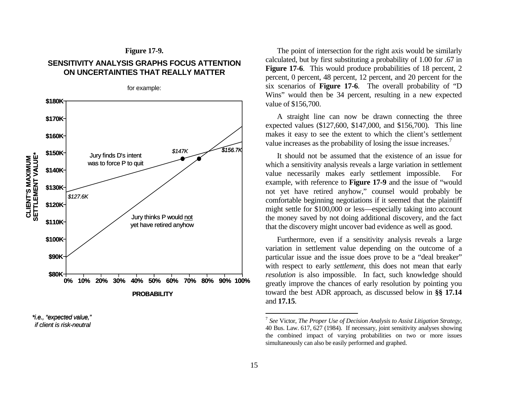## **Figure 17-9. SENSITIVITY ANALYSIS GRAPHS FOCUS ATTENTION ON UNCERTAINTIES THAT REALLY MATTER**





The point of interse ction for the right axis w o uld b e similarly calculated, but by first substituting a probability of 1.00 for .67 in Figure 17-6. This would produce probabilities of 18 percent, 2 percent, 0 percent, 48 percent, 12 percent, and 20 percent for the six scenarios of **Figure 17-6**. The overall probability of "D Wins" would then be 34 percent, resulting in a new expected value of \$156,700.

exp ected values (\$127,600, \$147,000, and \$156,700). This line makes it easy to see the extent to which the client's settlement value increases as the probability of losing the issue increases.<sup>[7](#page-14-0)</sup>

It should not be assumed that the existence of an issue for which a sensitivity analysis reveals a large variation in settlement value necessarily m akes early settlement impossible. For example, with reference to **Figure 17- 9** and the issue of "would not yet have retired anyhow," counsel would probably be comfortable beginning negotiations if it seemed that the plaintiff might settle for \$100,000 or less—especially taking into account the money saved by not doing additional discovery, and the fact th at the discovery might unc over bad evidence as w ell as good.

Further mor e, e ven if a s ensitivity analysis reveals a l arg e variation in settlement value depending on the outcome of a particular issue and the issue does prove to be a "deal breaker" with respect to early *settlement,* this does not mean that early *resolution* is also impossible. In fact, such knowledge should greatly improve the chances of early r esol ution by pointing you toward the best ADR approach, as dis cussed bel ow i n **§§ 17.14**  and **17.15**.

<span id="page-14-0"></span><sup>7</sup> *See* Victor, *The Proper Use of Decision Analysis to Assist Litigation Strategy,*  40 Bus. Law. 617, 627 (1984). If necessary, joint sensiti vity analyses showing the co mbined i mpact of varying probabilities on two or more issues si multaneousl y can also be easily performed an d graphe d.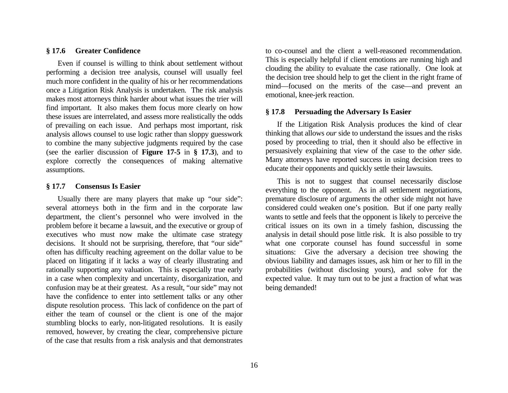#### **§ 17.6 Greater Confidence**

Even if counsel is willing to think about settlement without performing a decision tree analysis, counsel will usually feel much more confident in the quality of his or her recommendations once a Litigation Risk Analysis is undertaken. The risk analysis makes most attorneys think harder about what issues the trier will find important. It also makes them focus more clearly on how these issues are interrelated, and assess more realistically the odds of prevailing on each issue. And perhaps most important, risk analysis allows counsel to use logic rather than sloppy guesswork to combine the many subjective judgments required by the case (see the earlier discussion of **Figure 17-5** in **§ 17.3**), and to explore correctly the consequences of making alternative assumptions.

#### **§ 17.7 Consensus Is Easier**

Usually there are many players that make up "our side": several attorneys both in the firm and in the corporate law department, the client's personnel who were involved in the problem before it became a lawsuit, and the executive or group of executives who must now make the ultimate case strategy decisions. It should not be surprising, therefore, that "our side" often has difficulty reaching agreement on the dollar value to be placed on litigating if it lacks a way of clearly illustrating and rationally supporting any valuation. This is especially true early in a case when complexity and uncertainty, disorganization, and confusion may be at their greatest. As a result, "our side" may not have the confidence to enter into settlement talks or any other dispute resolution process. This lack of confidence on the part of either the team of counsel or the client is one of the major stumbling blocks to early, non-litigated resolutions. It is easily removed, however, by creating the clear, comprehensive picture of the case that results from a risk analysis and that demonstrates

to co-counsel and the client a well-reasoned recommendation. This is especially helpful if client emotions are running high and clouding the ability to evaluate the case rationally. One look at the decision tree should help to get the client in the right frame of mind—focused on the merits of the case—and prevent an emotional, knee-jerk reaction.

#### **§ 17.8 Persuading the Adversary Is Easier**

If the Litigation Risk Analysis produces the kind of clear thinking that allows *our* side to understand the issues and the risks posed by proceeding to trial, then it should also be effective in persuasively explaining that view of the case to the *other* side. Many attorneys have reported success in using decision trees to educate their opponents and quickly settle their lawsuits.

This is not to suggest that counsel necessarily disclose everything to the opponent. As in all settlement negotiations, premature disclosure of arguments the other side might not have considered could weaken one's position. But if one party really wants to settle and feels that the opponent is likely to perceive the critical issues on its own in a timely fashion, discussing the analysis in detail should pose little risk. It is also possible to try what one corporate counsel has found successful in some situations: Give the adversary a decision tree showing the obvious liability and damages issues, ask him or her to fill in the probabilities (without disclosing yours), and solve for the expected value. It may turn out to be just a fraction of what was being demanded!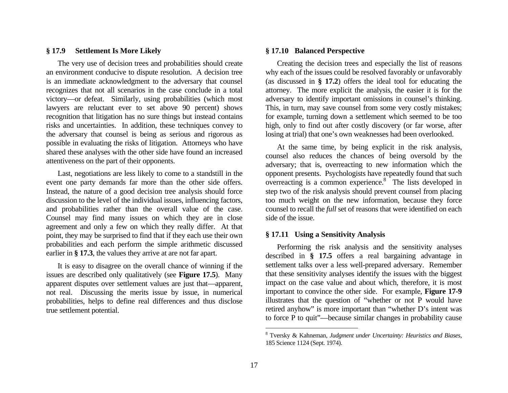#### **§ 17.9 Settlement Is More Likely**

The very use of decision trees and probabilities should create an environment conducive to dispute resolution. A decision tree is an immediate acknowledgment to the adversary that counsel recognizes that not all scenarios in the case conclude in a total victory—or defeat. Similarly, using probabilities (which most lawyers are reluctant ever to set above 90 percent) shows recognition that litigation has no sure things but instead contains risks and uncertainties. In addition, these techniques convey to the adversary that counsel is being as serious and rigorous as possible in evaluating the risks of litigation. Attorneys who have shared these analyses with the other side have found an increased attentiveness on the part of their opponents.

Last, negotiations are less likely to come to a standstill in the event one party demands far more than the other side offers. Instead, the nature of a good decision tree analysis should force discussion to the level of the individual issues, influencing factors, and probabilities rather than the overall value of the case. Counsel may find many issues on which they are in close agreement and only a few on which they really differ. At that point, they may be surprised to find that if they each use their own probabilities and each perform the simple arithmetic discussed earlier in **§ 17.3**, the values they arrive at are not far apart.

It is easy to disagree on the overall chance of winning if the issues are described only qualitatively (see **Figure 17.5**). Many apparent disputes over settlement values are just that—apparent, not real. Discussing the merits issue by issue, in numerical probabilities, helps to define real differences and thus disclose true settlement potential.

#### **§ 17.10 Balanced Perspective**

Creating the decision trees and especially the list of reasons why each of the issues could be resolved favorably or unfavorably (as discussed in **§ 17.2**) offers the ideal tool for educating the attorney. The more explicit the analysis, the easier it is for the adversary to identify important omissions in counsel's thinking. This, in turn, may save counsel from some very costly mistakes; for example, turning down a settlement which seemed to be too high, only to find out after costly discovery (or far worse, after losing at trial) that one's own weaknesses had been overlooked.

At the same time, by being explicit in the risk analysis, counsel also reduces the chances of being oversold by the adversary; that is, overreacting to new information which the opponent presents. Psychologists have repeatedly found that such overreacting is a common experience.[8](#page-16-0) The lists developed in step two of the risk analysis should prevent counsel from placing too much weight on the new information, because they force counsel to recall the *full* set of reasons that were identified on each side of the issue.

#### **§ 17.11 Using a Sensitivity Analysis**

Performing the risk analysis and the sensitivity analyses described in **§ 17.5** offers a real bargaining advantage in settlement talks over a less well-prepared adversary. Remember that these sensitivity analyses identify the issues with the biggest impact on the case value and about which, therefore, it is most important to convince the other side. For example, **Figure 17-9** illustrates that the question of "whether or not P would have retired anyhow" is more important than "whether D's intent was to force P to quit"—because similar changes in probability cause

<span id="page-16-0"></span><sup>8</sup> Tversky & Kahneman, *Judgment under Uncertainty: Heuristics and Biases,*  185 Science 1124 (Sept. 1974).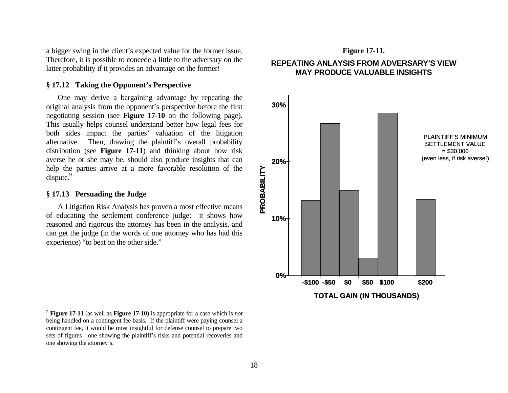a bigger swing in the client's expected value for the former issue. Therefore, it is possible to concede a little to the adversary on the latter probability if it provides an advantage on the former!

#### **§ 17.12 Taking the Opponent's Perspective**

One may derive a bargaining advantage by repeating the original analysis from the opponent's perspective before the first negotiating session (see **Figure 17-10** on the following page). This usually helps counsel understand better how legal fees for both sides impact the parties' valuation of the litigation alternative. Then, drawing the plaintiff's overall probability distribution (see **Figure 17-11**) and thinking about how risk averse he or she may be, should also produce insights that can help the parties arrive at a more favorable resolution of the dispute.<sup>[9](#page-17-0)</sup>

#### **§ 17.13 Persuading the Judge**

A Litigation Risk Analysis has proven a most effective means of educating the settlement conference judge: it shows how reasoned and rigorous the attorney has been in the analysis, and can get the judge (in the words of one attorney who has had this experience) "to beat on the other side."



<span id="page-17-0"></span>

<sup>9</sup> **Figure 17-11** (as well as **Figure 17-10**) is appropriate for a case which is *not* being handled on a contingent fee basis. If the plaintiff were paying counsel <sup>a</sup> contingent fee, it would be most insightful for defense counsel to prepare two sets of figures—one showing the plaintiff's risks and potential recoveries and one showing the attorney's.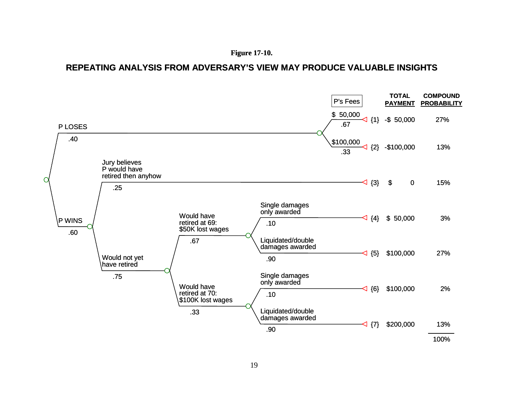#### **REPEATING ANALYSIS FROM ADVERSARY'S VIEW MAY PRODUCE VALUABLE INSIGHTS**

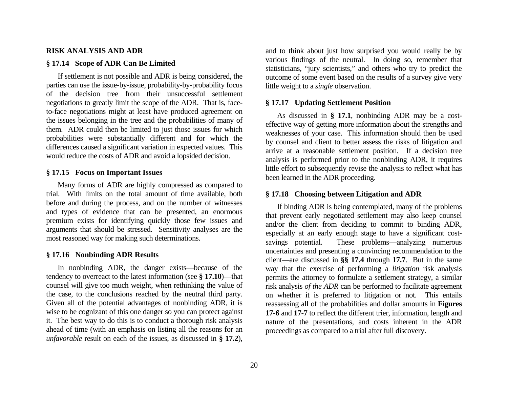#### **RISK ANALYSIS AND ADR**

#### **§ 17.14 Scope of ADR Can Be Limited**

If settlement is not possible and ADR is being considered, the parties can use the issue-by-issue, probability-by-probability focus of the decision tree from their unsuccessful settlementnegotiations to greatly limit the scope of the ADR. That is, faceto-face negotiations mig ht at least have produced agreement on the iss u es b elon ging in the tree and the probabilities of m any of them. ADR could then be limited to just those issues for which probabilities were substantially different and for which the differences caused a significant v ariation in expe cted values. T his would reduce the costs of ADR and avoid a lopsided decision.

#### **§ 17.15 Focus on Important Issues**

Many forms of ADR are highly compressed as compared t o trial. With limits on the total amount of time available, both befor e a nd during the process, and on the number of witnesses and types of evidence that can b e presented, an enormous premium exists for id e ntifying quickly those few issues and arguments that should be stressed. Sensitivit y analyses are the most reasoned way for making s uch determinations.

#### **§ 17.16 Nonbinding ADR Results**

In nonbinding ADR, the danger exists—bec ause of the tendency t o overreact to the latest information (see **§ 17.10**)—that counsel will give too muc h weight, whe n rethinking th e val ue of the case, to the conclusions reached by the neutral third party. Given all of the potential advantages of nonbinding ADR, it is wise to be cognizant of this one danger so you can protect against it. The b est way to do this is to conduct a thorough risk analysis ahead of time (with an emphasis on listing all the reasons for an *unfavorable* result on each of the issues, as discussed in § 17.2),

and to thin k about just how s urprised you would really be by various findings of the neutral. In doing so, remember that statisticians, "jury scientists," and others who try to predict the outcome of some event based on the results of a survey giv e very little weight to a *single* observation.

#### **§ 17.17 Updating Settlement Position**

As discussed in **§ 17.1**, nonbinding ADR m ay be a costeffective way of getting m ore information about the strengths and weaknesses of your case. This information should then be used by counsel and client to better assess th e risks of litigation and arriv e at a reasonable s ettlement position. If a decision tree a nalysis is performed prior t o the nonbinding ADR, it requires little effort to subsequently revise the analysis to reflect what has been learned in the ADR proceeding.

#### **§ 17.18 Choosing between Litigation and ADR**

If binding ADR is being c onte mplated, m any of the problems that prevent early negotiated settlement m ay als o keep counsel a nd/or the client from deciding to commit to binding A DR, especially at an early enough stage to have a significant costsavings potential. These problems—analyzing numerous uncertai nties and presenting a convincing recommendation to the client—are discussed in **§§ 17.4** through **17.7**. But in the same way that the exercise of performing a *litigation* risk analysis permits the attorney to formulate a s ettlement strategy, a similar risk analysis *of the ADR* can be perform ed to facilitate agreement on whether it is preferred to litigation or not. This entails reassessing all of the probabilities and dollar amounts in **Figures 17-6** and 17-7 to reflect the different trier, information, length and nature of the presentations, and costs inher ent in the ADR pro ceedings as compared to a trial after full discovery.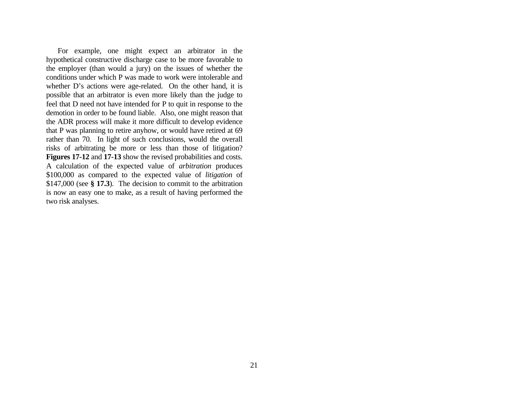For example, one might expect an arbitrator in the hypothetical constructive discharge case to be more favorable to the employer (than would a jury) on the issues of whether the conditions under which P was made to work were intolerable and whether D's actions were age-related. On the other hand, it is possible that an arbitrator is even more likely than the judge to feel that D need not have intended for P to quit in response to the demotion in order to be found liable. Also, one might reason that the ADR process will make it more difficult to develop evidence that P was planning to retire anyhow, or would have retired at 69 rather than 70. In light of such conclusions, would the overall risks of arbitrating be more or less than those of litigation? **Figures 17-12** and **17-13** show the revised probabilities and costs. A calculation of the expected value of *arbitration* produces \$100,000 as compared to the expected value of *litigation* of \$147,000 (see **§ 17.3**). The decision to commit to the arbitration is now an easy one to make, as a result of having performed the two risk analyses.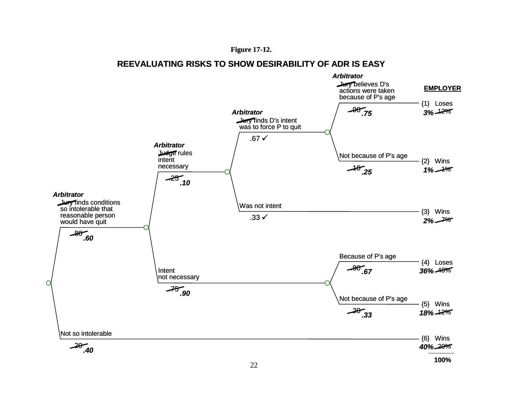#### **Figure 17-12.**

### **REEVALUATING RISKS TO SHOW DESIRABILITY OFADR IS EASY**